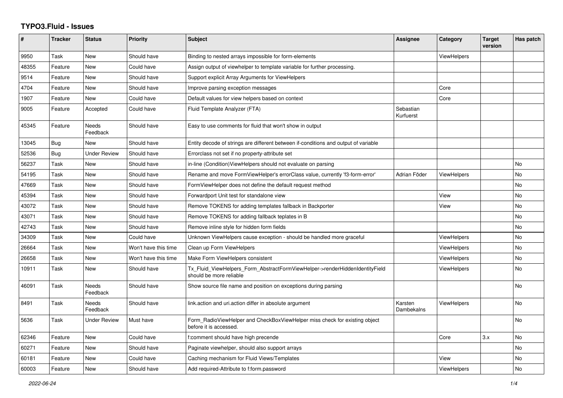## **TYPO3.Fluid - Issues**

| $\pmb{\#}$ | <b>Tracker</b> | <b>Status</b>            | <b>Priority</b>      | <b>Subject</b>                                                                                         | Assignee               | Category           | <b>Target</b><br>version | Has patch |
|------------|----------------|--------------------------|----------------------|--------------------------------------------------------------------------------------------------------|------------------------|--------------------|--------------------------|-----------|
| 9950       | Task           | New                      | Should have          | Binding to nested arrays impossible for form-elements                                                  |                        | <b>ViewHelpers</b> |                          |           |
| 48355      | Feature        | <b>New</b>               | Could have           | Assign output of viewhelper to template variable for further processing.                               |                        |                    |                          |           |
| 9514       | Feature        | New                      | Should have          | Support explicit Array Arguments for ViewHelpers                                                       |                        |                    |                          |           |
| 4704       | Feature        | New                      | Should have          | Improve parsing exception messages                                                                     |                        | Core               |                          |           |
| 1907       | Feature        | New                      | Could have           | Default values for view helpers based on context                                                       |                        | Core               |                          |           |
| 9005       | Feature        | Accepted                 | Could have           | Fluid Template Analyzer (FTA)                                                                          | Sebastian<br>Kurfuerst |                    |                          |           |
| 45345      | Feature        | Needs<br>Feedback        | Should have          | Easy to use comments for fluid that won't show in output                                               |                        |                    |                          |           |
| 13045      | Bug            | <b>New</b>               | Should have          | Entity decode of strings are different between if-conditions and output of variable                    |                        |                    |                          |           |
| 52536      | Bug            | <b>Under Review</b>      | Should have          | Errorclass not set if no property-attribute set                                                        |                        |                    |                          |           |
| 56237      | Task           | <b>New</b>               | Should have          | in-line (Condition) View Helpers should not evaluate on parsing                                        |                        |                    |                          | No        |
| 54195      | Task           | New                      | Should have          | Rename and move FormViewHelper's errorClass value, currently 'f3-form-error'                           | Adrian Föder           | <b>ViewHelpers</b> |                          | <b>No</b> |
| 47669      | Task           | New                      | Should have          | FormViewHelper does not define the default request method                                              |                        |                    |                          | No        |
| 45394      | Task           | <b>New</b>               | Should have          | Forwardport Unit test for standalone view                                                              |                        | View               |                          | <b>No</b> |
| 43072      | Task           | New                      | Should have          | Remove TOKENS for adding templates fallback in Backporter                                              |                        | View               |                          | <b>No</b> |
| 43071      | Task           | New                      | Should have          | Remove TOKENS for adding fallback teplates in B                                                        |                        |                    |                          | No        |
| 42743      | Task           | <b>New</b>               | Should have          | Remove inline style for hidden form fields                                                             |                        |                    |                          | <b>No</b> |
| 34309      | Task           | New                      | Could have           | Unknown ViewHelpers cause exception - should be handled more graceful                                  |                        | <b>ViewHelpers</b> |                          | <b>No</b> |
| 26664      | Task           | New                      | Won't have this time | Clean up Form ViewHelpers                                                                              |                        | ViewHelpers        |                          | No.       |
| 26658      | Task           | <b>New</b>               | Won't have this time | Make Form ViewHelpers consistent                                                                       |                        | <b>ViewHelpers</b> |                          | <b>No</b> |
| 10911      | Task           | New                      | Should have          | Tx Fluid ViewHelpers Form AbstractFormViewHelper->renderHiddenIdentityField<br>should be more reliable |                        | ViewHelpers        |                          | <b>No</b> |
| 46091      | Task           | <b>Needs</b><br>Feedback | Should have          | Show source file name and position on exceptions during parsing                                        |                        |                    |                          | <b>No</b> |
| 8491       | Task           | Needs<br>Feedback        | Should have          | link action and uri action differ in absolute argument                                                 | Karsten<br>Dambekalns  | <b>ViewHelpers</b> |                          | No        |
| 5636       | Task           | <b>Under Review</b>      | Must have            | Form_RadioViewHelper and CheckBoxViewHelper miss check for existing object<br>before it is accessed.   |                        |                    |                          | <b>No</b> |
| 62346      | Feature        | <b>New</b>               | Could have           | f:comment should have high precende                                                                    |                        | Core               | 3.x                      | <b>No</b> |
| 60271      | Feature        | New                      | Should have          | Paginate viewhelper, should also support arrays                                                        |                        |                    |                          | No        |
| 60181      | Feature        | New                      | Could have           | Caching mechanism for Fluid Views/Templates                                                            |                        | View               |                          | No        |
| 60003      | Feature        | <b>New</b>               | Should have          | Add required-Attribute to f:form.password                                                              |                        | ViewHelpers        |                          | No        |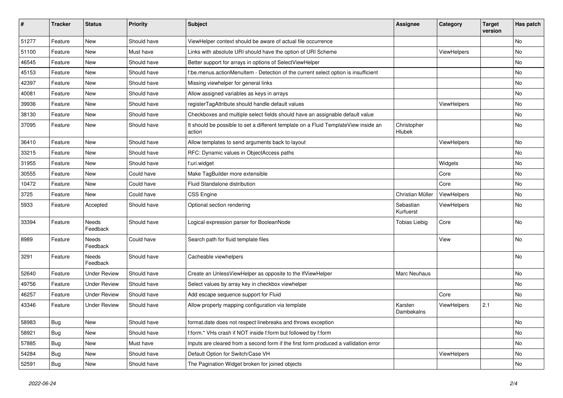| #     | <b>Tracker</b> | <b>Status</b>            | <b>Priority</b> | Subject                                                                                       | <b>Assignee</b>        | Category    | <b>Target</b><br>version | Has patch |
|-------|----------------|--------------------------|-----------------|-----------------------------------------------------------------------------------------------|------------------------|-------------|--------------------------|-----------|
| 51277 | Feature        | New                      | Should have     | ViewHelper context should be aware of actual file occurrence                                  |                        |             |                          | <b>No</b> |
| 51100 | Feature        | New                      | Must have       | Links with absolute URI should have the option of URI Scheme                                  |                        | ViewHelpers |                          | No        |
| 46545 | Feature        | New                      | Should have     | Better support for arrays in options of SelectViewHelper                                      |                        |             |                          | No        |
| 45153 | Feature        | New                      | Should have     | f:be.menus.actionMenuItem - Detection of the current select option is insufficient            |                        |             |                          | No        |
| 42397 | Feature        | <b>New</b>               | Should have     | Missing viewhelper for general links                                                          |                        |             |                          | No        |
| 40081 | Feature        | New                      | Should have     | Allow assigned variables as keys in arrays                                                    |                        |             |                          | No        |
| 39936 | Feature        | New                      | Should have     | registerTagAttribute should handle default values                                             |                        | ViewHelpers |                          | No        |
| 38130 | Feature        | New                      | Should have     | Checkboxes and multiple select fields should have an assignable default value                 |                        |             |                          | No        |
| 37095 | Feature        | <b>New</b>               | Should have     | It should be possible to set a different template on a Fluid TemplateView inside an<br>action | Christopher<br>Hlubek  |             |                          | No        |
| 36410 | Feature        | <b>New</b>               | Should have     | Allow templates to send arguments back to layout                                              |                        | ViewHelpers |                          | No        |
| 33215 | Feature        | New                      | Should have     | RFC: Dynamic values in ObjectAccess paths                                                     |                        |             |                          | No        |
| 31955 | Feature        | New                      | Should have     | f:uri.widget                                                                                  |                        | Widgets     |                          | No        |
| 30555 | Feature        | New                      | Could have      | Make TagBuilder more extensible                                                               |                        | Core        |                          | No        |
| 10472 | Feature        | New                      | Could have      | Fluid Standalone distribution                                                                 |                        | Core        |                          | No        |
| 3725  | Feature        | New                      | Could have      | <b>CSS Engine</b>                                                                             | Christian Müller       | ViewHelpers |                          | No        |
| 5933  | Feature        | Accepted                 | Should have     | Optional section rendering                                                                    | Sebastian<br>Kurfuerst | ViewHelpers |                          | No        |
| 33394 | Feature        | <b>Needs</b><br>Feedback | Should have     | Logical expression parser for BooleanNode                                                     | <b>Tobias Liebig</b>   | Core        |                          | <b>No</b> |
| 8989  | Feature        | Needs<br>Feedback        | Could have      | Search path for fluid template files                                                          |                        | View        |                          | <b>No</b> |
| 3291  | Feature        | Needs<br>Feedback        | Should have     | Cacheable viewhelpers                                                                         |                        |             |                          | No        |
| 52640 | Feature        | <b>Under Review</b>      | Should have     | Create an UnlessViewHelper as opposite to the IfViewHelper                                    | Marc Neuhaus           |             |                          | No        |
| 49756 | Feature        | <b>Under Review</b>      | Should have     | Select values by array key in checkbox viewhelper                                             |                        |             |                          | No        |
| 46257 | Feature        | <b>Under Review</b>      | Should have     | Add escape sequence support for Fluid                                                         |                        | Core        |                          | No        |
| 43346 | Feature        | <b>Under Review</b>      | Should have     | Allow property mapping configuration via template                                             | Karsten<br>Dambekalns  | ViewHelpers | 2.1                      | No        |
| 58983 | <b>Bug</b>     | New                      | Should have     | format.date does not respect linebreaks and throws exception                                  |                        |             |                          | No        |
| 58921 | <b>Bug</b>     | New                      | Should have     | f:form.* VHs crash if NOT inside f:form but followed by f:form                                |                        |             |                          | No        |
| 57885 | Bug            | New                      | Must have       | Inputs are cleared from a second form if the first form produced a vallidation error          |                        |             |                          | No        |
| 54284 | <b>Bug</b>     | New                      | Should have     | Default Option for Switch/Case VH                                                             |                        | ViewHelpers |                          | No        |
| 52591 | <b>Bug</b>     | New                      | Should have     | The Pagination Widget broken for joined objects                                               |                        |             |                          | No        |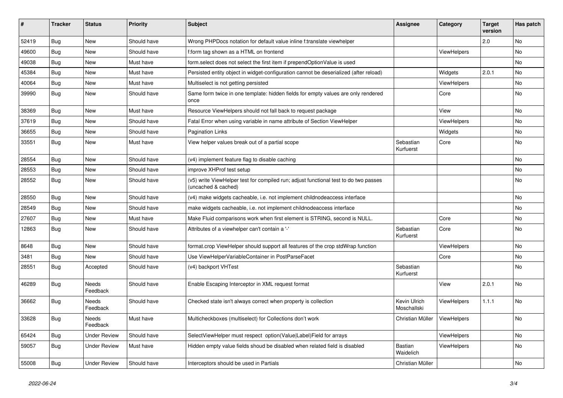| $\sharp$ | <b>Tracker</b> | <b>Status</b>       | <b>Priority</b> | <b>Subject</b>                                                                                              | <b>Assignee</b>             | Category    | <b>Target</b><br>version | Has patch |
|----------|----------------|---------------------|-----------------|-------------------------------------------------------------------------------------------------------------|-----------------------------|-------------|--------------------------|-----------|
| 52419    | <b>Bug</b>     | <b>New</b>          | Should have     | Wrong PHPDocs notation for default value inline f:translate viewhelper                                      |                             |             | 2.0                      | <b>No</b> |
| 49600    | <b>Bug</b>     | New                 | Should have     | f:form tag shown as a HTML on frontend                                                                      |                             | ViewHelpers |                          | <b>No</b> |
| 49038    | <b>Bug</b>     | New                 | Must have       | form.select does not select the first item if prependOptionValue is used                                    |                             |             |                          | No        |
| 45384    | <b>Bug</b>     | New                 | Must have       | Persisted entity object in widget-configuration cannot be deserialized (after reload)                       |                             | Widgets     | 2.0.1                    | No        |
| 40064    | Bug            | New                 | Must have       | Multiselect is not getting persisted                                                                        |                             | ViewHelpers |                          | <b>No</b> |
| 39990    | <b>Bug</b>     | New                 | Should have     | Same form twice in one template: hidden fields for empty values are only rendered<br>once                   |                             | Core        |                          | <b>No</b> |
| 38369    | Bug            | <b>New</b>          | Must have       | Resource ViewHelpers should not fall back to request package                                                |                             | View        |                          | <b>No</b> |
| 37619    | Bug            | New                 | Should have     | Fatal Error when using variable in name attribute of Section ViewHelper                                     |                             | ViewHelpers |                          | <b>No</b> |
| 36655    | Bug            | New                 | Should have     | <b>Pagination Links</b>                                                                                     |                             | Widgets     |                          | No        |
| 33551    | <b>Bug</b>     | <b>New</b>          | Must have       | View helper values break out of a partial scope                                                             | Sebastian<br>Kurfuerst      | Core        |                          | <b>No</b> |
| 28554    | Bug            | New                 | Should have     | (v4) implement feature flag to disable caching                                                              |                             |             |                          | No        |
| 28553    | Bug            | New                 | Should have     | improve XHProf test setup                                                                                   |                             |             |                          | No        |
| 28552    | Bug            | New                 | Should have     | (v5) write ViewHelper test for compiled run; adjust functional test to do two passes<br>(uncached & cached) |                             |             |                          | No        |
| 28550    | Bug            | New                 | Should have     | (v4) make widgets cacheable, i.e. not implement childnodeaccess interface                                   |                             |             |                          | <b>No</b> |
| 28549    | Bug            | New                 | Should have     | make widgets cacheable, i.e. not implement childnodeaccess interface                                        |                             |             |                          | <b>No</b> |
| 27607    | Bug            | New                 | Must have       | Make Fluid comparisons work when first element is STRING, second is NULL.                                   |                             | Core        |                          | <b>No</b> |
| 12863    | Bug            | New                 | Should have     | Attributes of a viewhelper can't contain a '-'                                                              | Sebastian<br>Kurfuerst      | Core        |                          | <b>No</b> |
| 8648     | <b>Bug</b>     | New                 | Should have     | format.crop ViewHelper should support all features of the crop stdWrap function                             |                             | ViewHelpers |                          | <b>No</b> |
| 3481     | Bug            | <b>New</b>          | Should have     | Use ViewHelperVariableContainer in PostParseFacet                                                           |                             | Core        |                          | No        |
| 28551    | Bug            | Accepted            | Should have     | (v4) backport VHTest                                                                                        | Sebastian<br>Kurfuerst      |             |                          | <b>No</b> |
| 46289    | Bug            | Needs<br>Feedback   | Should have     | Enable Escaping Interceptor in XML request format                                                           |                             | View        | 2.0.1                    | <b>No</b> |
| 36662    | <b>Bug</b>     | Needs<br>Feedback   | Should have     | Checked state isn't always correct when property is collection                                              | Kevin Ulrich<br>Moschallski | ViewHelpers | 1.1.1                    | No        |
| 33628    | <b>Bug</b>     | Needs<br>Feedback   | Must have       | Multicheckboxes (multiselect) for Collections don't work                                                    | Christian Müller            | ViewHelpers |                          | <b>No</b> |
| 65424    | Bug            | <b>Under Review</b> | Should have     | SelectViewHelper must respect option(Value Label)Field for arrays                                           |                             | ViewHelpers |                          | No        |
| 59057    | Bug            | Under Review        | Must have       | Hidden empty value fields shoud be disabled when related field is disabled                                  | Bastian<br>Waidelich        | ViewHelpers |                          | No        |
| 55008    | <b>Bug</b>     | <b>Under Review</b> | Should have     | Interceptors should be used in Partials                                                                     | Christian Müller            |             |                          | <b>No</b> |